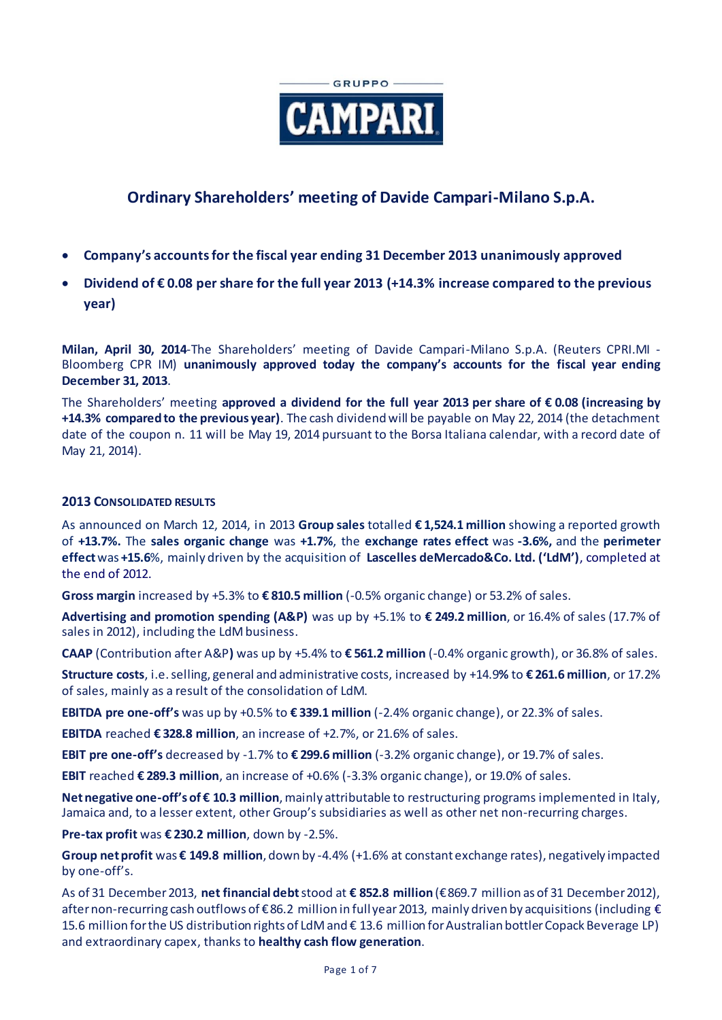

# **Ordinary Shareholders' meeting of Davide Campari-Milano S.p.A.**

- **Company's accounts for the fiscal year ending 31 December 2013 unanimously approved**
- **Dividend of € 0.08 per share for the full year 2013 (+14.3% increase compared to the previous year)**

**Milan, April 30, 2014**-The Shareholders' meeting of Davide Campari-Milano S.p.A. (Reuters CPRI.MI - Bloomberg CPR IM) **unanimously approved today the company's accounts for the fiscal year ending December 31, 2013**.

The Shareholders' meeting **approved a dividend for the full year 2013 per share of € 0.08 (increasing by +14.3% compared to the previous year)**. The cash dividend will be payable on May 22, 2014 (the detachment date of the coupon n. 11 will be May 19, 2014 pursuant to the Borsa Italiana calendar, with a record date of May 21, 2014).

# **2013 CONSOLIDATED RESULTS**

As announced on March 12, 2014, in 2013 **Group sales** totalled **€ 1,524.1 million** showing a reported growth of **+13.7%.** The **sales organic change** was **+1.7%**, the **exchange rates effect** was **-3.6%,** and the **perimeter effect**was **+15.6**%, mainly driven by the acquisition of **Lascelles deMercado&Co. Ltd. ('LdM')**, completed at the end of 2012.

**Gross margin** increased by +5.3% to **€ 810.5 million** (-0.5% organic change) or 53.2% of sales.

**Advertising and promotion spending (A&P)** was up by +5.1% to **€ 249.2 million**, or 16.4% of sales (17.7% of sales in 2012), including the LdM business.

**CAAP** (Contribution after A&P**)** was up by +5.4% to **€ 561.2 million** (-0.4% organic growth), or 36.8% of sales.

**Structure costs**, i.e. selling, general and administrative costs, increased by +14.9**%** to **€ 261.6 million**, or 17.2% of sales, mainly as a result of the consolidation of LdM.

**EBITDA pre one-off's** was up by +0.5% to **€ 339.1 million** (-2.4% organic change), or 22.3% of sales.

**EBITDA** reached **€ 328.8 million**, an increase of +2.7%, or 21.6% of sales.

**EBIT pre one-off's** decreased by -1.7% to **€ 299.6 million** (-3.2% organic change), or 19.7% of sales.

**EBIT** reached **€ 289.3 million**, an increase of +0.6% (-3.3% organic change), or 19.0% of sales.

**Net negative one-off'sof € 10.3 million**, mainly attributable to restructuring programs implemented in Italy, Jamaica and, to a lesser extent, other Group's subsidiaries as well as other net non-recurring charges.

**Pre-tax profit** was **€ 230.2 million**, down by -2.5%.

**Group net profit** was **€ 149.8 million**, down by -4.4% (+1.6% at constant exchange rates), negatively impacted by one-off's.

As of 31 December2013, **net financial debt**stood at **€ 852.8 million** (€ 869.7 million as of 31 December 2012), after non-recurring cash outflows of € 86.2 million in full year2013, mainly driven by acquisitions (including € 15.6 million for the US distribution rights of LdM and € 13.6 million for Australian bottler Copack Beverage LP) and extraordinary capex, thanks to **healthy cash flow generation**.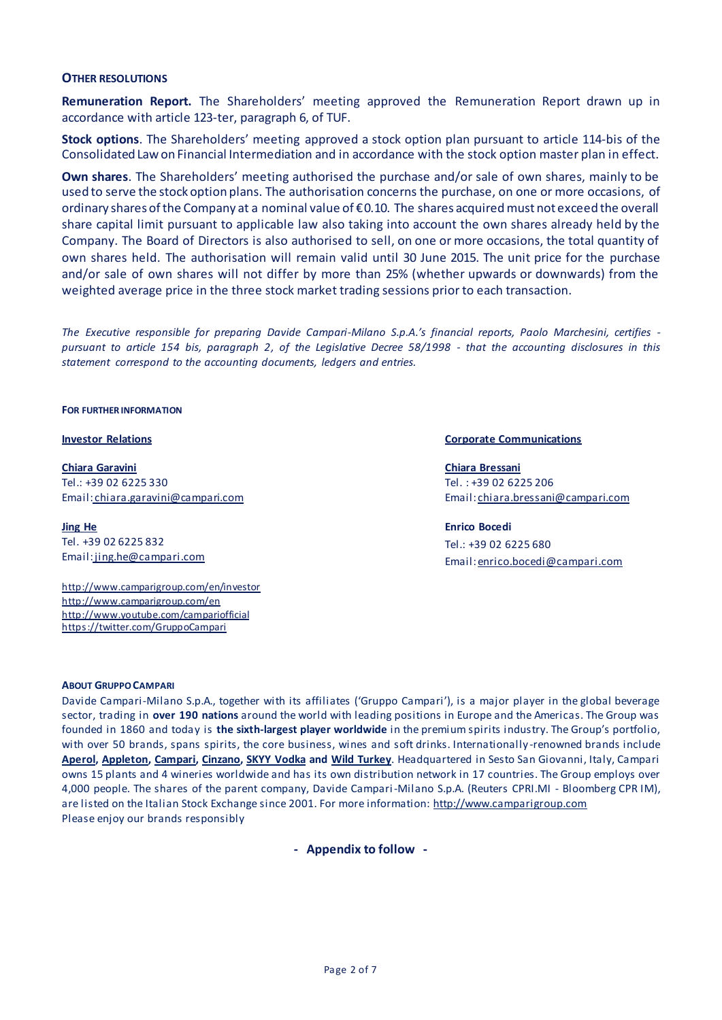### **OTHER RESOLUTIONS**

**Remuneration Report.** The Shareholders' meeting approved the Remuneration Report drawn up in accordance with article 123-ter, paragraph 6, of TUF.

**Stock options**. The Shareholders' meeting approved a stock option plan pursuant to article 114-bis of the Consolidated Law on Financial Intermediation and in accordance with the stock option master plan in effect.

**Own shares**. The Shareholders' meeting authorised the purchase and/or sale of own shares, mainly to be used to serve the stock option plans. The authorisation concerns the purchase, on one or more occasions, of ordinary shares of the Company at a nominal value of € 0.10. The shares acquired must not exceed the overall share capital limit pursuant to applicable law also taking into account the own shares already held by the Company. The Board of Directors is also authorised to sell, on one or more occasions, the total quantity of own shares held. The authorisation will remain valid until 30 June 2015. The unit price for the purchase and/or sale of own shares will not differ by more than 25% (whether upwards or downwards) from the weighted average price in the three stock market trading sessions prior to each transaction.

*The Executive responsible for preparing Davide Campari-Milano S.p.A.'s financial reports, Paolo Marchesini, certifies pursuant to article 154 bis, paragraph 2, of the Legislative Decree 58/1998 - that the accounting disclosures in this statement correspond to the accounting documents, ledgers and entries.* 

**FOR FURTHER INFORMATION**

**Chiara Garavini** Tel.: +39 02 6225 330 Email: [chiara.garavini@campari.com](mailto:chiara.garavini@campari.com)

**Jing He** Tel. +39 02 6225 832 Email:jing.he@campari.com

http://www.camparigroup.com/en/investor http://www.camparigroup.com/en http://www.youtube.com/campariofficial <https://twitter.com/GruppoCampari>

#### **Investor Relations Corporate Communications**

**Chiara Bressani** Tel. : +39 02 6225 206 Email[: chiara.bressani@campari.com](mailto:chiara.bressani@campari.com)

#### **Enrico Bocedi**

Tel.: +39 02 6225 680 Email: enrico.bocedi@campari.com

#### **ABOUT GRUPPO C[AMPARI](http://www.camparigroup.com/en/index.shtml)**

Davide Campari-Milano S.p.A., together with its affiliates ('Gruppo Campari'), is a major player in the global beverage sector, trading in **over 190 nations** around the world with leading positions in Europe and the Americas. The Group was founded in 1860 and today is **the sixth-largest player worldwide** in the premium spirits industry. The Group's portfolio, with over 50 brands, spans spirits, the core business, wines and soft drinks. Internationally -renowned brands include **[Aperol,](http://www.aperol.com/?http%3A//www.aperol.com/) [Appleton,](http://www.appletonestate.com/) [Campari,](http://www.campari.com/) [Cinzano,](http://www.cinzano.com/) [SKYY Vodka](http://www.skyy.com/) and [Wild Turkey](http://www.wildturkeybourbon.com.au/)**. Headquartered in Sesto San Giovanni, Italy, Campari owns 15 plants and 4 wineries worldwide and has its own distribution network in 17 countries. The Group employs over 4,000 people. The shares of the parent company, Davide Campari-Milano S.p.A. (Reuters CPRI.MI - Bloomberg CPR IM), are listed on the Italian Stock Exchange since 2001. For more information: [http://www.camparigroup.com](http://www.camparigroup.com/) Please enjoy our brands responsibly

**- Appendix to follow -**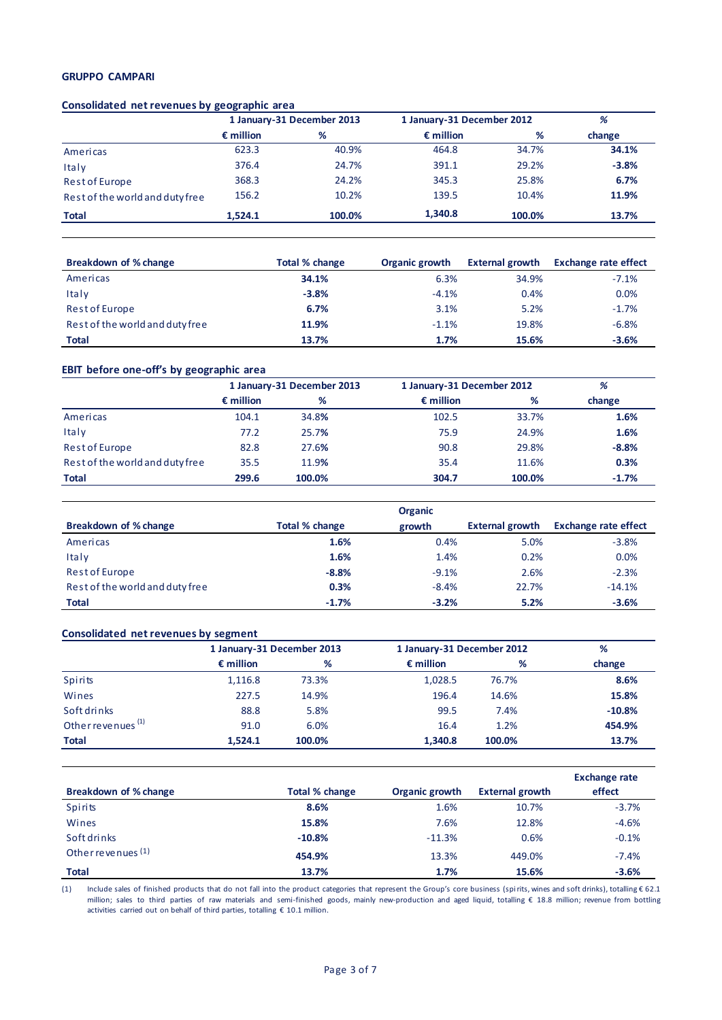### **GRUPPO CAMPARI**

#### **Consolidated net revenues by geographic area**

|                                 | 1 January-31 December 2013 |        | 1 January-31 December 2012 |        | %       |  |
|---------------------------------|----------------------------|--------|----------------------------|--------|---------|--|
|                                 | $\epsilon$ million         | %      | $\epsilon$ million         | %      | change  |  |
| Americas                        | 623.3                      | 40.9%  | 464.8                      | 34.7%  | 34.1%   |  |
| Italy                           | 376.4                      | 24.7%  | 391.1                      | 29.2%  | $-3.8%$ |  |
| Rest of Europe                  | 368.3                      | 24.2%  | 345.3                      | 25.8%  | 6.7%    |  |
| Rest of the world and duty free | 156.2                      | 10.2%  | 139.5                      | 10.4%  | 11.9%   |  |
| <b>Total</b>                    | 1.524.1                    | 100.0% | 1,340.8                    | 100.0% | 13.7%   |  |

| Breakdown of % change           | Total % change | Organic growth | <b>External growth</b> | <b>Exchange rate effect</b> |
|---------------------------------|----------------|----------------|------------------------|-----------------------------|
| Americas                        | 34.1%          | 6.3%           | 34.9%                  | $-7.1%$                     |
| Italy                           | $-3.8%$        | $-4.1%$        | 0.4%                   | 0.0%                        |
| Rest of Europe                  | 6.7%           | 3.1%           | 5.2%                   | $-1.7%$                     |
| Rest of the world and duty free | 11.9%          | $-1.1%$        | 19.8%                  | $-6.8%$                     |
| <b>Total</b>                    | 13.7%          | 1.7%           | 15.6%                  | $-3.6%$                     |

#### **EBIT before one-off's by geographic area**

|                                 | 1 January-31 December 2013 |        | 1 January-31 December 2012 |        | %       |
|---------------------------------|----------------------------|--------|----------------------------|--------|---------|
|                                 | $\epsilon$ million         | %      | $\epsilon$ million         | %      | change  |
| Americas                        | 104.1                      | 34.8%  | 102.5                      | 33.7%  | 1.6%    |
| Italy                           | 77.2                       | 25.7%  | 75.9                       | 24.9%  | 1.6%    |
| Rest of Europe                  | 82.8                       | 27.6%  | 90.8                       | 29.8%  | $-8.8%$ |
| Rest of the world and duty free | 35.5                       | 11.9%  | 35.4                       | 11.6%  | 0.3%    |
| <b>Total</b>                    | 299.6                      | 100.0% | 304.7                      | 100.0% | $-1.7%$ |

|                                 |                | <b>Organic</b> |                        |                             |
|---------------------------------|----------------|----------------|------------------------|-----------------------------|
| Breakdown of % change           | Total % change | growth         | <b>External growth</b> | <b>Exchange rate effect</b> |
| Americas                        | 1.6%           | 0.4%           | 5.0%                   | $-3.8%$                     |
| Italy                           | 1.6%           | 1.4%           | 0.2%                   | 0.0%                        |
| Rest of Europe                  | $-8.8%$        | $-9.1%$        | 2.6%                   | $-2.3%$                     |
| Rest of the world and duty free | 0.3%           | $-8.4%$        | 22.7%                  | $-14.1%$                    |
| <b>Total</b>                    | $-1.7%$        | $-3.2%$        | 5.2%                   | $-3.6%$                     |

#### **Consolidated net revenues by segment**

|                               |                    | 1 January-31 December 2013 |                    | 1 January-31 December 2012 |          |  |
|-------------------------------|--------------------|----------------------------|--------------------|----------------------------|----------|--|
|                               | $\epsilon$ million | %                          | $\epsilon$ million | %                          | change   |  |
| Spirits                       | 1,116.8            | 73.3%                      | 1,028.5            | 76.7%                      | 8.6%     |  |
| Wines                         | 227.5              | 14.9%                      | 196.4              | 14.6%                      | 15.8%    |  |
| Soft drinks                   | 88.8               | 5.8%                       | 99.5               | 7.4%                       | $-10.8%$ |  |
| Other revenues <sup>(1)</sup> | 91.0               | 6.0%                       | 16.4               | 1.2%                       | 454.9%   |  |
| <b>Total</b>                  | 1.524.1            | 100.0%                     | 1.340.8            | 100.0%                     | 13.7%    |  |

|                       |                       |                       |                        | <b>Exchange rate</b> |
|-----------------------|-----------------------|-----------------------|------------------------|----------------------|
| Breakdown of % change | <b>Total % change</b> | <b>Organic growth</b> | <b>External growth</b> | effect               |
| <b>Spirits</b>        | 8.6%                  | 1.6%                  | 10.7%                  | $-3.7%$              |
| Wines                 | 15.8%                 | 7.6%                  | 12.8%                  | $-4.6%$              |
| Soft drinks           | $-10.8%$              | $-11.3%$              | 0.6%                   | $-0.1%$              |
| Other revenues $(1)$  | 454.9%                | 13.3%                 | 449.0%                 | $-7.4%$              |
| <b>Total</b>          | 13.7%                 | 1.7%                  | 15.6%                  | $-3.6%$              |

(1) Include sales of finished products that do not fall into the product categories that represent the Group's core business (spirits, wines and soft drinks), totalling € 62.1 million; sales to third parties of raw materials and semi-finished goods, mainly new-production and aged liquid, totalling € 18.8 million; revenue from bottling activities carried out on behalf of third parties, totalling  $\epsilon$  10.1 million.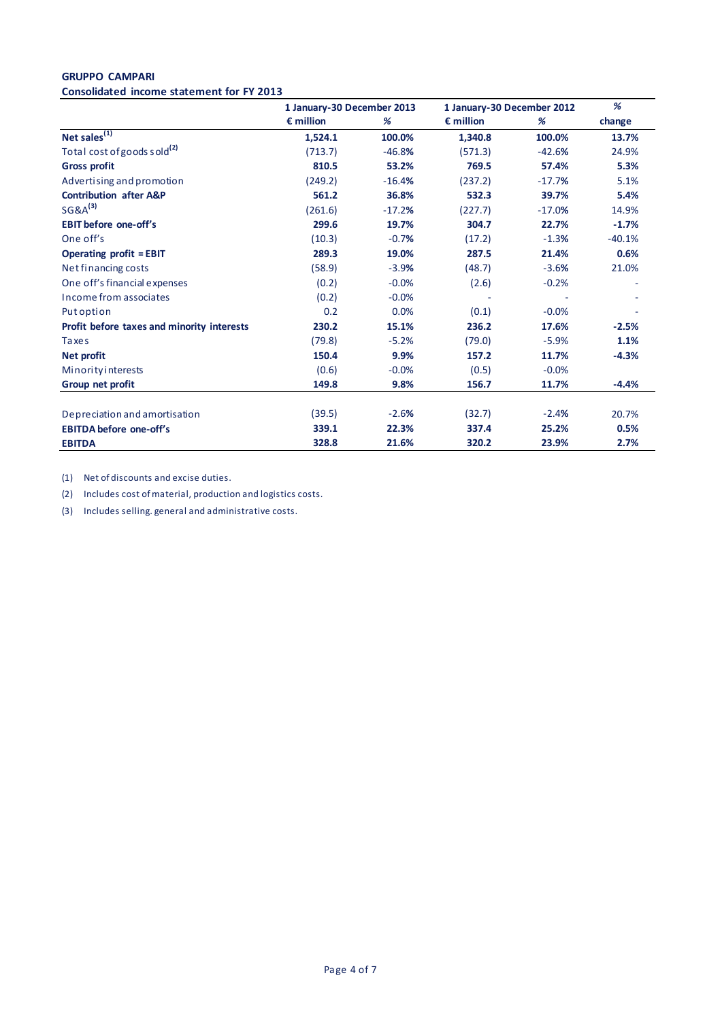#### **GRUPPO CAMPARI Consolidated income statement for FY 2013**

|                                            | 1 January-30 December 2013 |          | 1 January-30 December 2012 |          | %        |
|--------------------------------------------|----------------------------|----------|----------------------------|----------|----------|
|                                            | $\epsilon$ million         | %        | $\epsilon$ million         | %        | change   |
| Net sales $\overline{^{(1)}}$              | 1,524.1                    | 100.0%   | 1,340.8                    | 100.0%   | 13.7%    |
| Total cost of goods sold <sup>(2)</sup>    | (713.7)                    | $-46.8%$ | (571.3)                    | $-42.6%$ | 24.9%    |
| <b>Gross profit</b>                        | 810.5                      | 53.2%    | 769.5                      | 57.4%    | 5.3%     |
| Advertising and promotion                  | (249.2)                    | $-16.4%$ | (237.2)                    | $-17.7%$ | 5.1%     |
| <b>Contribution after A&amp;P</b>          | 561.2                      | 36.8%    | 532.3                      | 39.7%    | 5.4%     |
| $SG&A^{(3)}$                               | (261.6)                    | $-17.2%$ | (227.7)                    | $-17.0%$ | 14.9%    |
| <b>EBIT</b> before one-off's               | 299.6                      | 19.7%    | 304.7                      | 22.7%    | $-1.7%$  |
| One off's                                  | (10.3)                     | $-0.7%$  | (17.2)                     | $-1.3%$  | $-40.1%$ |
| <b>Operating profit = EBIT</b>             | 289.3                      | 19.0%    | 287.5                      | 21.4%    | 0.6%     |
| Net financing costs                        | (58.9)                     | $-3.9%$  | (48.7)                     | $-3.6%$  | 21.0%    |
| One off's financial expenses               | (0.2)                      | $-0.0%$  | (2.6)                      | $-0.2%$  |          |
| Income from associates                     | (0.2)                      | $-0.0%$  |                            |          |          |
| Put option                                 | 0.2                        | 0.0%     | (0.1)                      | $-0.0%$  |          |
| Profit before taxes and minority interests | 230.2                      | 15.1%    | 236.2                      | 17.6%    | $-2.5%$  |
| Taxes                                      | (79.8)                     | $-5.2%$  | (79.0)                     | $-5.9%$  | 1.1%     |
| Net profit                                 | 150.4                      | 9.9%     | 157.2                      | 11.7%    | $-4.3%$  |
| Minority interests                         | (0.6)                      | $-0.0%$  | (0.5)                      | $-0.0%$  |          |
| Group net profit                           | 149.8                      | 9.8%     | 156.7                      | 11.7%    | $-4.4%$  |
| Depreciation and amortisation              | (39.5)                     | $-2.6%$  | (32.7)                     | $-2.4%$  | 20.7%    |
| <b>EBITDA before one-off's</b>             | 339.1                      | 22.3%    | 337.4                      | 25.2%    | 0.5%     |
| <b>EBITDA</b>                              | 328.8                      | 21.6%    | 320.2                      | 23.9%    | 2.7%     |

(1) Net of discounts and excise duties.

(2) Includes cost of material, production and logistics costs.

(3) Includes selling. general and administrative costs.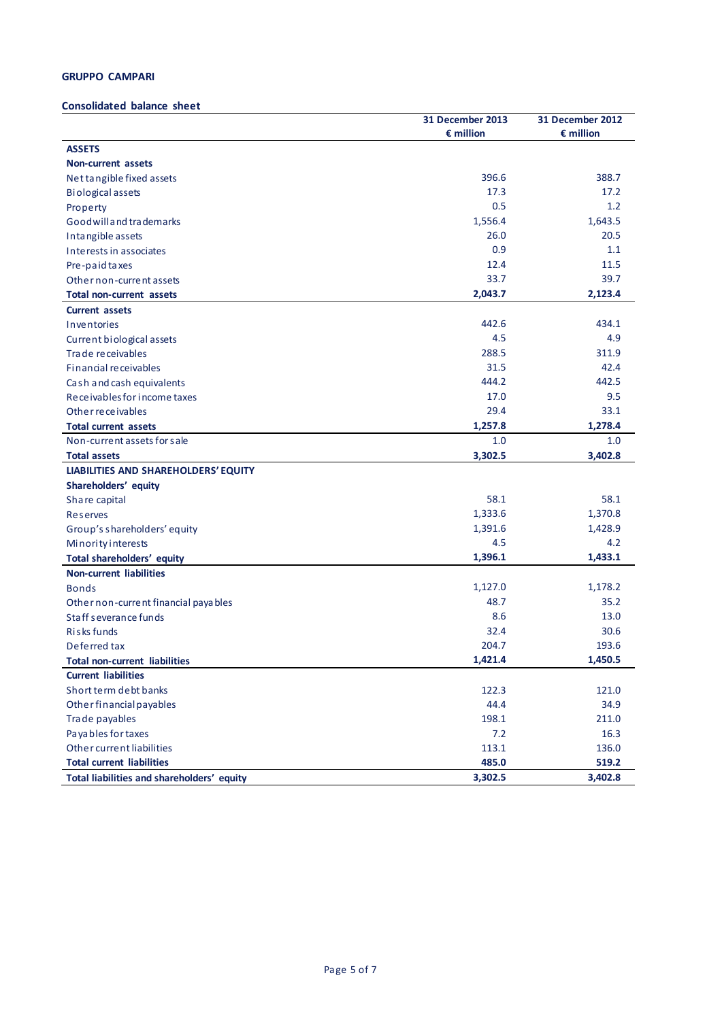# **GRUPPO CAMPARI**

# **Consolidated balance sheet**

|                                            | 31 December 2013   | 31 December 2012   |
|--------------------------------------------|--------------------|--------------------|
|                                            | $\epsilon$ million | $\epsilon$ million |
| <b>ASSETS</b>                              |                    |                    |
| <b>Non-current assets</b>                  |                    |                    |
| Net tangible fixed assets                  | 396.6              | 388.7              |
| <b>Biological assets</b>                   | 17.3               | 17.2               |
| Property                                   | 0.5                | 1.2                |
| Goodwill and trademarks                    | 1,556.4            | 1,643.5            |
| Intangible assets                          | 26.0               | 20.5               |
| Interests in associates                    | 0.9                | 1.1                |
| Pre-paid taxes                             | 12.4               | 11.5               |
| Other non-current assets                   | 33.7               | 39.7               |
| <b>Total non-current assets</b>            | 2,043.7            | 2,123.4            |
| <b>Current assets</b>                      |                    |                    |
| Inventories                                | 442.6              | 434.1              |
| Current biological assets                  | 4.5                | 4.9                |
| Trade receivables                          | 288.5              | 311.9              |
| Financial receivables                      | 31.5               | 42.4               |
| Cash and cash equivalents                  | 444.2              | 442.5              |
| Receivables for income taxes               | 17.0               | 9.5                |
| Other receivables                          | 29.4               | 33.1               |
| <b>Total current assets</b>                | 1,257.8            | 1,278.4            |
| Non-current assets for sale                | 1.0                | 1.0                |
| <b>Total assets</b>                        | 3,302.5            | 3,402.8            |
| LIABILITIES AND SHAREHOLDERS' EQUITY       |                    |                    |
| Shareholders' equity                       |                    |                    |
| Share capital                              | 58.1               | 58.1               |
| <b>Reserves</b>                            | 1,333.6            | 1,370.8            |
| Group's shareholders' equity               | 1,391.6            | 1,428.9            |
| Minority interests                         | 4.5                | 4.2                |
| Total shareholders' equity                 | 1,396.1            | 1,433.1            |
| <b>Non-current liabilities</b>             |                    |                    |
| <b>Bonds</b>                               | 1,127.0            | 1,178.2            |
| Other non-current financial payables       | 48.7               | 35.2               |
| Staff severance funds                      | 8.6                | 13.0               |
| Risks funds                                | 32.4               | 30.6               |
| Deferred tax                               | 204.7              | 193.6              |
| <b>Total non-current liabilities</b>       | 1,421.4            | 1,450.5            |
| <b>Current liabilities</b>                 |                    |                    |
| Short term debt banks                      | 122.3              | 121.0              |
| Other financial payables                   | 44.4               | 34.9               |
| Trade payables                             | 198.1              | 211.0              |
| Payables for taxes                         | 7.2                | 16.3               |
| Other current liabilities                  | 113.1              | 136.0              |
| <b>Total current liabilities</b>           | 485.0              | 519.2              |
| Total liabilities and shareholders' equity | 3,302.5            | 3,402.8            |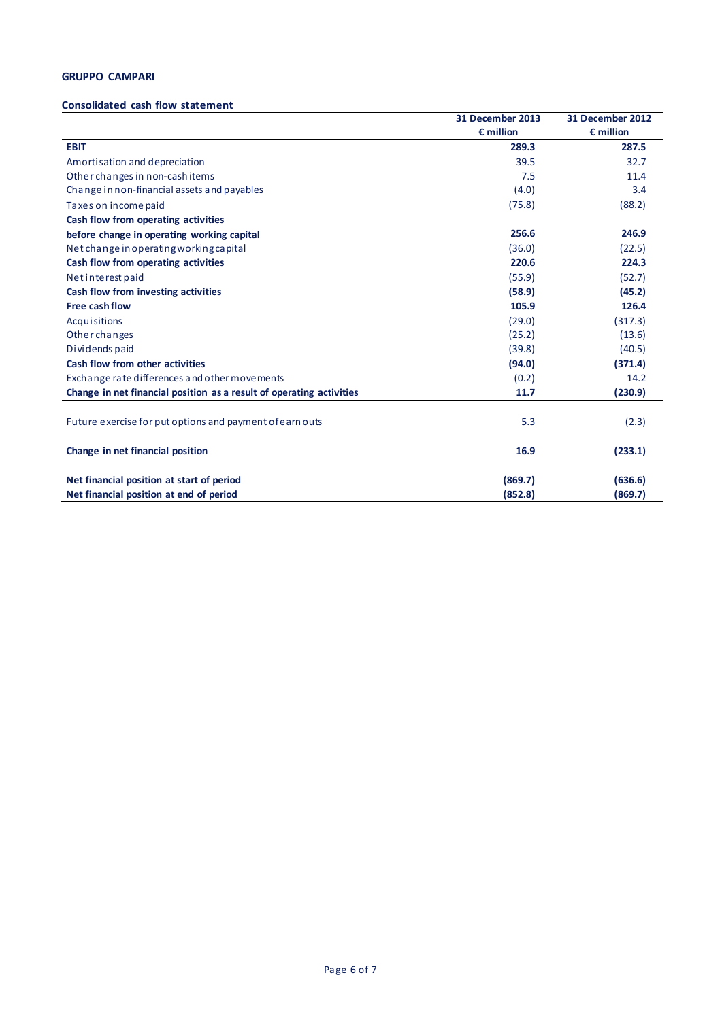# **GRUPPO CAMPARI**

#### **Consolidated cash flow statement**

|                                                                      | 31 December 2013   | 31 December 2012   |
|----------------------------------------------------------------------|--------------------|--------------------|
|                                                                      | $\epsilon$ million | $\epsilon$ million |
| <b>EBIT</b>                                                          | 289.3              | 287.5              |
| Amortisation and depreciation                                        | 39.5               | 32.7               |
| Other changes in non-cashitems                                       | 7.5                | 11.4               |
| Change in non-financial assets and payables                          | (4.0)              | 3.4                |
| Taxes on income paid                                                 | (75.8)             | (88.2)             |
| Cash flow from operating activities                                  |                    |                    |
| before change in operating working capital                           | 256.6              | 246.9              |
| Net change in operating working capital                              | (36.0)             | (22.5)             |
| Cash flow from operating activities                                  | 220.6              | 224.3              |
| Net interest paid                                                    | (55.9)             | (52.7)             |
| Cash flow from investing activities                                  | (58.9)             | (45.2)             |
| <b>Free cash flow</b>                                                | 105.9              | 126.4              |
| Acquisitions                                                         | (29.0)             | (317.3)            |
| <b>Other changes</b>                                                 | (25.2)             | (13.6)             |
| Dividends paid                                                       | (39.8)             | (40.5)             |
| Cash flow from other activities                                      | (94.0)             | (371.4)            |
| Exchange rate differences and other movements                        | (0.2)              | 14.2               |
| Change in net financial position as a result of operating activities | 11.7               | (230.9)            |
|                                                                      |                    |                    |
| Future exercise for put options and payment of earn outs             | 5.3                | (2.3)              |
| Change in net financial position                                     | 16.9               | (233.1)            |
| Net financial position at start of period                            | (869.7)            | (636.6)            |
| Net financial position at end of period                              | (852.8)            | (869.7)            |